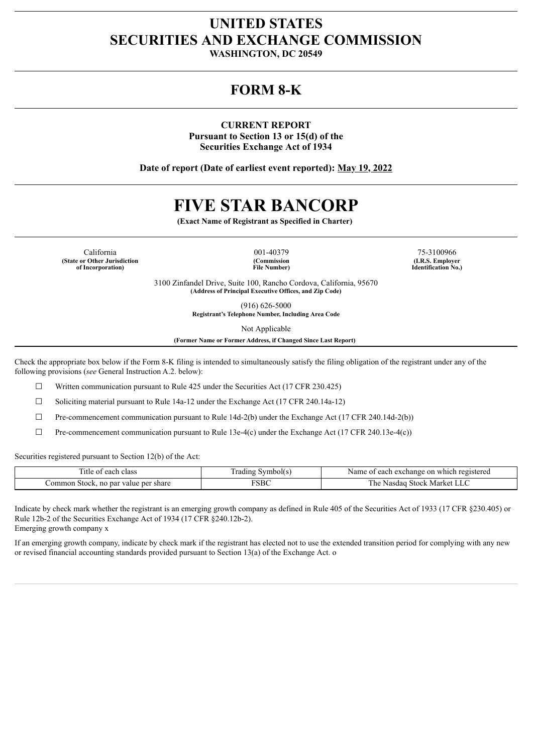## **UNITED STATES SECURITIES AND EXCHANGE COMMISSION**

**WASHINGTON, DC 20549**

## **FORM 8-K**

**CURRENT REPORT Pursuant to Section 13 or 15(d) of the Securities Exchange Act of 1934**

**Date of report (Date of earliest event reported): May 19, 2022**

# **FIVE STAR BANCORP**

**(Exact Name of Registrant as Specified in Charter)**

California 001-40379 75-3100966 **(State or Other Jurisdiction of Incorporation)**

**(Commission File Number)**

**(I.R.S. Employer Identification No.)**

3100 Zinfandel Drive, Suite 100, Rancho Cordova, California, 95670 **(Address of Principal Executive Offices, and Zip Code)**

> (916) 626-5000 **Registrant's Telephone Number, Including Area Code**

> > Not Applicable

**(Former Name or Former Address, if Changed Since Last Report)**

Check the appropriate box below if the Form 8-K filing is intended to simultaneously satisfy the filing obligation of the registrant under any of the following provisions (*see* General Instruction A.2. below):

☐ Written communication pursuant to Rule 425 under the Securities Act (17 CFR 230.425)

 $\Box$  Soliciting material pursuant to Rule 14a-12 under the Exchange Act (17 CFR 240.14a-12)

 $\Box$  Pre-commencement communication pursuant to Rule 14d-2(b) under the Exchange Act (17 CFR 240.14d-2(b))

☐ Pre-commencement communication pursuant to Rule 13e-4(c) under the Exchange Act (17 CFR 240.13e-4(c))

Securities registered pursuant to Section 12(b) of the Act:

| Title of each class                  | Trading Symbol(s) | Name of each exchange on which registered |
|--------------------------------------|-------------------|-------------------------------------------|
| Common Stock, no par value per share | $\nabla$ SBC      | 5 Stock Market LLC<br>l he<br>Nasdag      |

Indicate by check mark whether the registrant is an emerging growth company as defined in Rule 405 of the Securities Act of 1933 (17 CFR §230.405) or Rule 12b-2 of the Securities Exchange Act of 1934 (17 CFR §240.12b-2). Emerging growth company x

If an emerging growth company, indicate by check mark if the registrant has elected not to use the extended transition period for complying with any new or revised financial accounting standards provided pursuant to Section 13(a) of the Exchange Act. o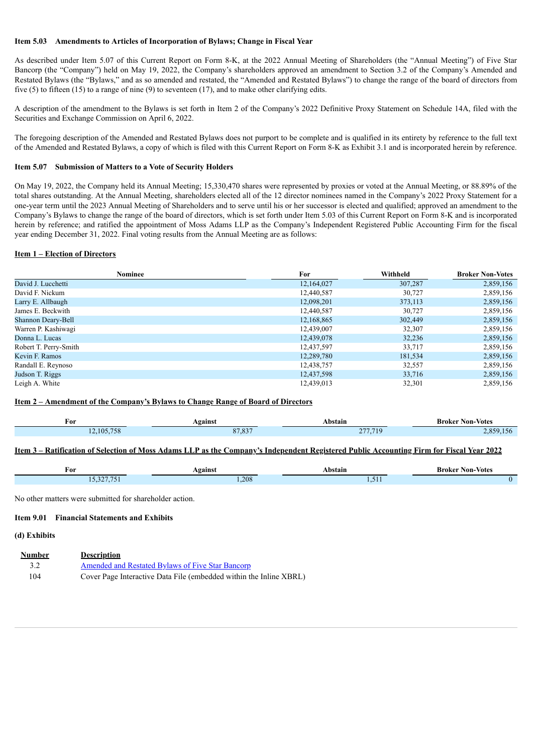## **Item 5.03 Amendments to Articles of Incorporation of Bylaws; Change in Fiscal Year**

As described under Item 5.07 of this Current Report on Form 8-K, at the 2022 Annual Meeting of Shareholders (the "Annual Meeting") of Five Star Bancorp (the "Company") held on May 19, 2022, the Company's shareholders approved an amendment to Section 3.2 of the Company's Amended and Restated Bylaws (the "Bylaws," and as so amended and restated, the "Amended and Restated Bylaws") to change the range of the board of directors from five (5) to fifteen (15) to a range of nine (9) to seventeen (17), and to make other clarifying edits.

A description of the amendment to the Bylaws is set forth in Item 2 of the Company's 2022 Definitive Proxy Statement on Schedule 14A, filed with the Securities and Exchange Commission on April 6, 2022.

The foregoing description of the Amended and Restated Bylaws does not purport to be complete and is qualified in its entirety by reference to the full text of the Amended and Restated Bylaws, a copy of which is filed with this Current Report on Form 8-K as Exhibit 3.1 and is incorporated herein by reference.

#### **Item 5.07 Submission of Matters to a Vote of Security Holders**

On May 19, 2022, the Company held its Annual Meeting; 15,330,470 shares were represented by proxies or voted at the Annual Meeting, or 88.89% of the total shares outstanding. At the Annual Meeting, shareholders elected all of the 12 director nominees named in the Company's 2022 Proxy Statement for a one-year term until the 2023 Annual Meeting of Shareholders and to serve until his or her successor is elected and qualified; approved an amendment to the Company's Bylaws to change the range of the board of directors, which is set forth under Item 5.03 of this Current Report on Form 8-K and is incorporated herein by reference; and ratified the appointment of Moss Adams LLP as the Company's Independent Registered Public Accounting Firm for the fiscal year ending December 31, 2022. Final voting results from the Annual Meeting are as follows:

## **Item 1 – Election of Directors**

| <b>Nominee</b>        | For        | Withheld | <b>Broker Non-Votes</b> |
|-----------------------|------------|----------|-------------------------|
| David J. Lucchetti    | 12,164,027 | 307,287  | 2,859,156               |
| David F. Nickum       | 12,440,587 | 30,727   | 2,859,156               |
| Larry E. Allbaugh     | 12,098,201 | 373,113  | 2,859,156               |
| James E. Beckwith     | 12,440,587 | 30,727   | 2,859,156               |
| Shannon Deary-Bell    | 12,168,865 | 302,449  | 2,859,156               |
| Warren P. Kashiwagi   | 12,439,007 | 32,307   | 2,859,156               |
| Donna L. Lucas        | 12,439,078 | 32,236   | 2,859,156               |
| Robert T. Perry-Smith | 12,437,597 | 33,717   | 2,859,156               |
| Kevin F. Ramos        | 12,289,780 | 181,534  | 2,859,156               |
| Randall E. Reynoso    | 12,438,757 | 32,557   | 2,859,156               |
| Judson T. Riggs       | 12,437,598 | 33,716   | 2,859,156               |
| Leigh A. White        | 12,439,013 | 32,301   | 2,859,156               |

## **Item 2 – Amendment of the Company's Bylaws to Change Range of Board of Directors**

| For      | Against | Abstain  | <b>Broker Non-Votes</b> |
|----------|---------|----------|-------------------------|
| ,105,758 | 07.027  | 277 719  | 859                     |
|          | 57.85   | $\sim$ 1 | $-156$                  |

## Item 3 - Ratification of Selection of Moss Adams LLP as the Company's Independent Registered Public Accounting Firm for Fiscal Year 2022

| ۳or                      | <b>\gainst</b> | Abstain<br>. | <b>Broker Non-Votes</b><br>. |
|--------------------------|----------------|--------------|------------------------------|
| 227.7<br>.<br>. <i>.</i> | 1.208          | .            |                              |

No other matters were submitted for shareholder action.

## **Item 9.01 Financial Statements and Exhibits**

## **(d) Exhibits**

| <b>Number</b> | <b>Description</b>                                                 |
|---------------|--------------------------------------------------------------------|
| 3.2           | Amended and Restated Bylaws of Five Star Bancorp                   |
| 104           | Cover Page Interactive Data File (embedded within the Inline XBRL) |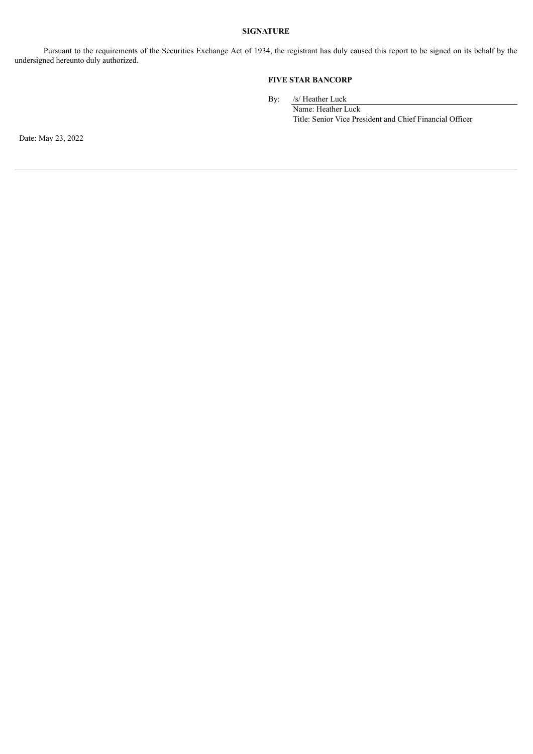## **SIGNATURE**

Pursuant to the requirements of the Securities Exchange Act of 1934, the registrant has duly caused this report to be signed on its behalf by the undersigned hereunto duly authorized.

## **FIVE STAR BANCORP**

By: /s/ Heather Luck

Name: Heather Luck Title: Senior Vice President and Chief Financial Officer

Date: May 23, 2022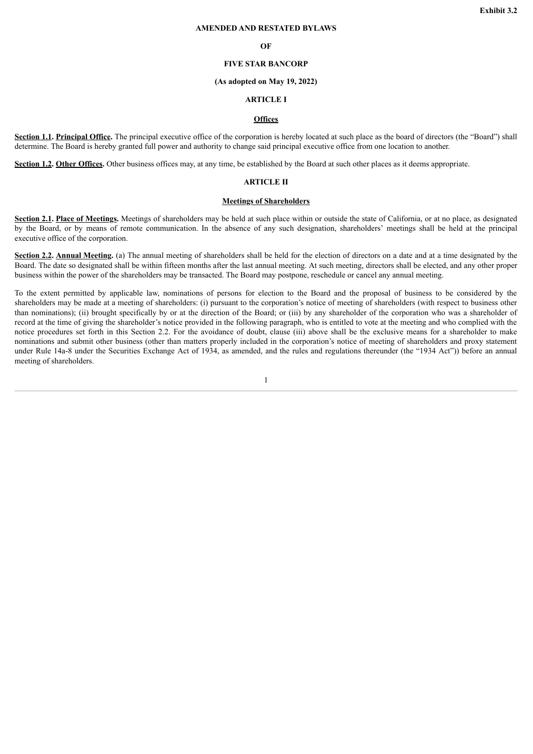## **AMENDED AND RESTATED BYLAWS**

#### **OF**

## **FIVE STAR BANCORP**

#### **(As adopted on May 19, 2022)**

### **ARTICLE I**

## **Offices**

<span id="page-3-0"></span>**Section 1.1. Principal Office.** The principal executive office of the corporation is hereby located at such place as the board of directors (the "Board") shall determine. The Board is hereby granted full power and authority to change said principal executive office from one location to another.

**Section 1.2. Other Offices.** Other business offices may, at any time, be established by the Board at such other places as it deems appropriate.

## **ARTICLE II**

#### **Meetings of Shareholders**

**Section 2.1. Place of Meetings.** Meetings of shareholders may be held at such place within or outside the state of California, or at no place, as designated by the Board, or by means of remote communication. In the absence of any such designation, shareholders' meetings shall be held at the principal executive office of the corporation.

**Section 2.2. Annual Meeting.** (a) The annual meeting of shareholders shall be held for the election of directors on a date and at a time designated by the Board. The date so designated shall be within fifteen months after the last annual meeting. At such meeting, directors shall be elected, and any other proper business within the power of the shareholders may be transacted. The Board may postpone, reschedule or cancel any annual meeting.

To the extent permitted by applicable law, nominations of persons for election to the Board and the proposal of business to be considered by the shareholders may be made at a meeting of shareholders: (i) pursuant to the corporation's notice of meeting of shareholders (with respect to business other than nominations); (ii) brought specifically by or at the direction of the Board; or (iii) by any shareholder of the corporation who was a shareholder of record at the time of giving the shareholder's notice provided in the following paragraph, who is entitled to vote at the meeting and who complied with the notice procedures set forth in this Section 2.2. For the avoidance of doubt, clause (iii) above shall be the exclusive means for a shareholder to make nominations and submit other business (other than matters properly included in the corporation's notice of meeting of shareholders and proxy statement under Rule 14a-8 under the Securities Exchange Act of 1934, as amended, and the rules and regulations thereunder (the "1934 Act")) before an annual meeting of shareholders.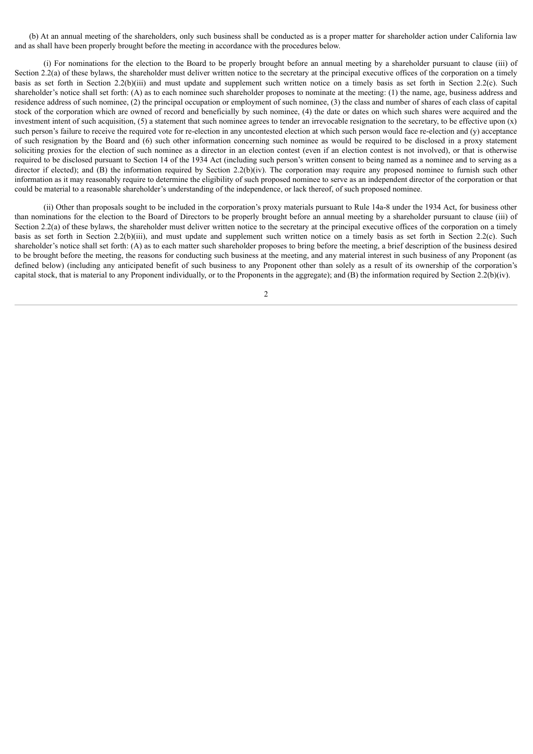(b) At an annual meeting of the shareholders, only such business shall be conducted as is a proper matter for shareholder action under California law and as shall have been properly brought before the meeting in accordance with the procedures below.

(i) For nominations for the election to the Board to be properly brought before an annual meeting by a shareholder pursuant to clause (iii) of Section 2.2(a) of these bylaws, the shareholder must deliver written notice to the secretary at the principal executive offices of the corporation on a timely basis as set forth in Section 2.2(b)(iii) and must update and supplement such written notice on a timely basis as set forth in Section 2.2(c). Such shareholder's notice shall set forth: (A) as to each nominee such shareholder proposes to nominate at the meeting: (1) the name, age, business address and residence address of such nominee, (2) the principal occupation or employment of such nominee, (3) the class and number of shares of each class of capital stock of the corporation which are owned of record and beneficially by such nominee, (4) the date or dates on which such shares were acquired and the investment intent of such acquisition,  $(5)$  a statement that such nominee agrees to tender an irrevocable resignation to the secretary, to be effective upon  $(x)$ such person's failure to receive the required vote for re-election in any uncontested election at which such person would face re-election and (y) acceptance of such resignation by the Board and (6) such other information concerning such nominee as would be required to be disclosed in a proxy statement soliciting proxies for the election of such nominee as a director in an election contest (even if an election contest is not involved), or that is otherwise required to be disclosed pursuant to Section 14 of the 1934 Act (including such person's written consent to being named as a nominee and to serving as a director if elected); and (B) the information required by Section 2.2(b)(iv). The corporation may require any proposed nominee to furnish such other information as it may reasonably require to determine the eligibility of such proposed nominee to serve as an independent director of the corporation or that could be material to a reasonable shareholder's understanding of the independence, or lack thereof, of such proposed nominee.

(ii) Other than proposals sought to be included in the corporation's proxy materials pursuant to Rule 14a-8 under the 1934 Act, for business other than nominations for the election to the Board of Directors to be properly brought before an annual meeting by a shareholder pursuant to clause (iii) of Section 2.2(a) of these bylaws, the shareholder must deliver written notice to the secretary at the principal executive offices of the corporation on a timely basis as set forth in Section 2.2(b)(iii), and must update and supplement such written notice on a timely basis as set forth in Section 2.2(c). Such shareholder's notice shall set forth: (A) as to each matter such shareholder proposes to bring before the meeting, a brief description of the business desired to be brought before the meeting, the reasons for conducting such business at the meeting, and any material interest in such business of any Proponent (as defined below) (including any anticipated benefit of such business to any Proponent other than solely as a result of its ownership of the corporation's capital stock, that is material to any Proponent individually, or to the Proponents in the aggregate); and (B) the information required by Section 2.2(b)(iv).

 $\mathcal{L}$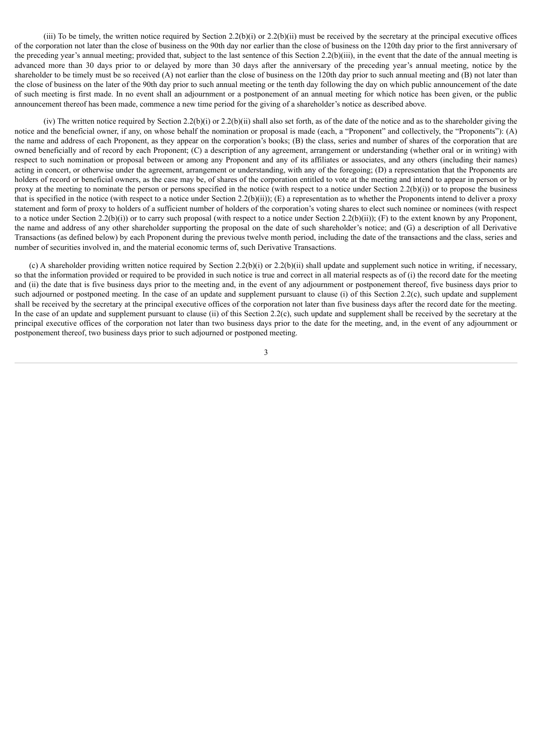(iii) To be timely, the written notice required by Section 2.2(b)(i) or 2.2(b)(ii) must be received by the secretary at the principal executive offices of the corporation not later than the close of business on the 90th day nor earlier than the close of business on the 120th day prior to the first anniversary of the preceding year's annual meeting; provided that, subject to the last sentence of this Section 2.2(b)(iii), in the event that the date of the annual meeting is advanced more than 30 days prior to or delayed by more than 30 days after the anniversary of the preceding year's annual meeting, notice by the shareholder to be timely must be so received (A) not earlier than the close of business on the 120th day prior to such annual meeting and (B) not later than the close of business on the later of the 90th day prior to such annual meeting or the tenth day following the day on which public announcement of the date of such meeting is first made. In no event shall an adjournment or a postponement of an annual meeting for which notice has been given, or the public announcement thereof has been made, commence a new time period for the giving of a shareholder's notice as described above.

(iv) The written notice required by Section 2.2(b)(i) or 2.2(b)(ii) shall also set forth, as of the date of the notice and as to the shareholder giving the notice and the beneficial owner, if any, on whose behalf the nomination or proposal is made (each, a "Proponent" and collectively, the "Proponents"): (A) the name and address of each Proponent, as they appear on the corporation's books; (B) the class, series and number of shares of the corporation that are owned beneficially and of record by each Proponent; (C) a description of any agreement, arrangement or understanding (whether oral or in writing) with respect to such nomination or proposal between or among any Proponent and any of its affiliates or associates, and any others (including their names) acting in concert, or otherwise under the agreement, arrangement or understanding, with any of the foregoing; (D) a representation that the Proponents are holders of record or beneficial owners, as the case may be, of shares of the corporation entitled to vote at the meeting and intend to appear in person or by proxy at the meeting to nominate the person or persons specified in the notice (with respect to a notice under Section 2.2(b)(i)) or to propose the business that is specified in the notice (with respect to a notice under Section 2.2(b)(ii)); (E) a representation as to whether the Proponents intend to deliver a proxy statement and form of proxy to holders of a sufficient number of holders of the corporation's voting shares to elect such nominee or nominees (with respect to a notice under Section 2.2(b)(i)) or to carry such proposal (with respect to a notice under Section 2.2(b)(ii)); (F) to the extent known by any Proponent, the name and address of any other shareholder supporting the proposal on the date of such shareholder's notice; and (G) a description of all Derivative Transactions (as defined below) by each Proponent during the previous twelve month period, including the date of the transactions and the class, series and number of securities involved in, and the material economic terms of, such Derivative Transactions.

(c) A shareholder providing written notice required by Section 2.2(b)(i) or 2.2(b)(ii) shall update and supplement such notice in writing, if necessary, so that the information provided or required to be provided in such notice is true and correct in all material respects as of (i) the record date for the meeting and (ii) the date that is five business days prior to the meeting and, in the event of any adjournment or postponement thereof, five business days prior to such adjourned or postponed meeting. In the case of an update and supplement pursuant to clause (i) of this Section 2.2(c), such update and supplement shall be received by the secretary at the principal executive offices of the corporation not later than five business days after the record date for the meeting. In the case of an update and supplement pursuant to clause (ii) of this Section 2.2(c), such update and supplement shall be received by the secretary at the principal executive offices of the corporation not later than two business days prior to the date for the meeting, and, in the event of any adjournment or postponement thereof, two business days prior to such adjourned or postponed meeting.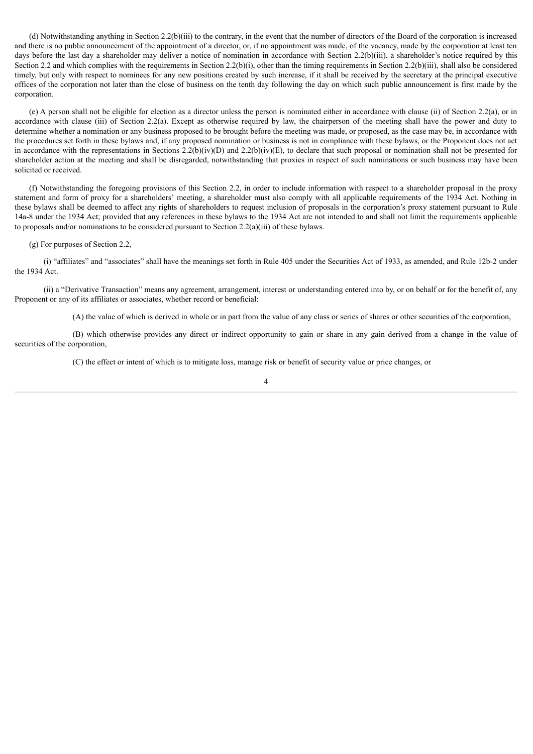(d) Notwithstanding anything in Section 2.2(b)(iii) to the contrary, in the event that the number of directors of the Board of the corporation is increased and there is no public announcement of the appointment of a director, or, if no appointment was made, of the vacancy, made by the corporation at least ten days before the last day a shareholder may deliver a notice of nomination in accordance with Section 2.2(b)(iii), a shareholder's notice required by this Section 2.2 and which complies with the requirements in Section 2.2(b)(i), other than the timing requirements in Section 2.2(b)(iii), shall also be considered timely, but only with respect to nominees for any new positions created by such increase, if it shall be received by the secretary at the principal executive offices of the corporation not later than the close of business on the tenth day following the day on which such public announcement is first made by the corporation.

(e) A person shall not be eligible for election as a director unless the person is nominated either in accordance with clause (ii) of Section 2.2(a), or in accordance with clause (iii) of Section 2.2(a). Except as otherwise required by law, the chairperson of the meeting shall have the power and duty to determine whether a nomination or any business proposed to be brought before the meeting was made, or proposed, as the case may be, in accordance with the procedures set forth in these bylaws and, if any proposed nomination or business is not in compliance with these bylaws, or the Proponent does not act in accordance with the representations in Sections 2.2(b)(iv)(D) and 2.2(b)(iv)(E), to declare that such proposal or nomination shall not be presented for shareholder action at the meeting and shall be disregarded, notwithstanding that proxies in respect of such nominations or such business may have been solicited or received.

(f) Notwithstanding the foregoing provisions of this Section 2.2, in order to include information with respect to a shareholder proposal in the proxy statement and form of proxy for a shareholders' meeting, a shareholder must also comply with all applicable requirements of the 1934 Act. Nothing in these bylaws shall be deemed to affect any rights of shareholders to request inclusion of proposals in the corporation's proxy statement pursuant to Rule 14a-8 under the 1934 Act; provided that any references in these bylaws to the 1934 Act are not intended to and shall not limit the requirements applicable to proposals and/or nominations to be considered pursuant to Section 2.2(a)(iii) of these bylaws.

## (g) For purposes of Section 2.2,

(i) "affiliates" and "associates" shall have the meanings set forth in Rule 405 under the Securities Act of 1933, as amended, and Rule 12b-2 under the 1934 Act.

(ii) a "Derivative Transaction" means any agreement, arrangement, interest or understanding entered into by, or on behalf or for the benefit of, any Proponent or any of its affiliates or associates, whether record or beneficial:

(A) the value of which is derived in whole or in part from the value of any class or series of shares or other securities of the corporation,

(B) which otherwise provides any direct or indirect opportunity to gain or share in any gain derived from a change in the value of securities of the corporation,

(C) the effect or intent of which is to mitigate loss, manage risk or benefit of security value or price changes, or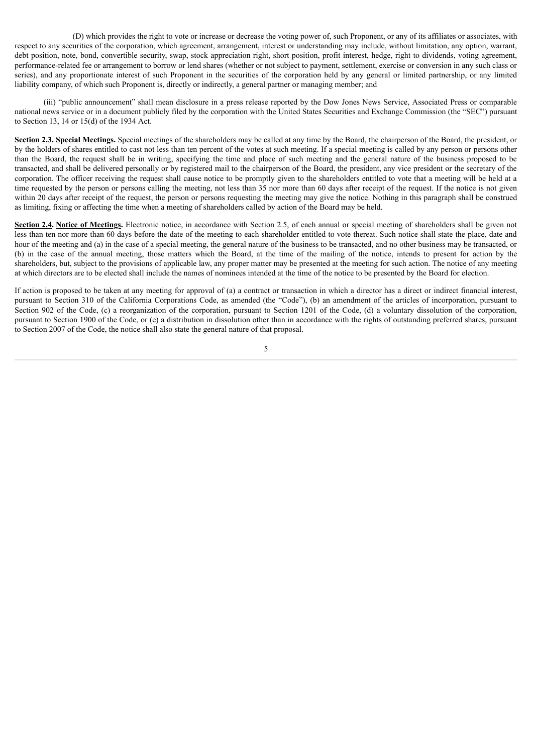(D) which provides the right to vote or increase or decrease the voting power of, such Proponent, or any of its affiliates or associates, with respect to any securities of the corporation, which agreement, arrangement, interest or understanding may include, without limitation, any option, warrant, debt position, note, bond, convertible security, swap, stock appreciation right, short position, profit interest, hedge, right to dividends, voting agreement, performance-related fee or arrangement to borrow or lend shares (whether or not subject to payment, settlement, exercise or conversion in any such class or series), and any proportionate interest of such Proponent in the securities of the corporation held by any general or limited partnership, or any limited liability company, of which such Proponent is, directly or indirectly, a general partner or managing member; and

(iii) "public announcement" shall mean disclosure in a press release reported by the Dow Jones News Service, Associated Press or comparable national news service or in a document publicly filed by the corporation with the United States Securities and Exchange Commission (the "SEC") pursuant to Section 13, 14 or 15(d) of the 1934 Act.

**Section 2.3. Special Meetings.** Special meetings of the shareholders may be called at any time by the Board, the chairperson of the Board, the president, or by the holders of shares entitled to cast not less than ten percent of the votes at such meeting. If a special meeting is called by any person or persons other than the Board, the request shall be in writing, specifying the time and place of such meeting and the general nature of the business proposed to be transacted, and shall be delivered personally or by registered mail to the chairperson of the Board, the president, any vice president or the secretary of the corporation. The officer receiving the request shall cause notice to be promptly given to the shareholders entitled to vote that a meeting will be held at a time requested by the person or persons calling the meeting, not less than 35 nor more than 60 days after receipt of the request. If the notice is not given within 20 days after receipt of the request, the person or persons requesting the meeting may give the notice. Nothing in this paragraph shall be construed as limiting, fixing or affecting the time when a meeting of shareholders called by action of the Board may be held.

**Section 2.4. Notice of Meetings.** Electronic notice, in accordance with Section 2.5, of each annual or special meeting of shareholders shall be given not less than ten nor more than 60 days before the date of the meeting to each shareholder entitled to vote thereat. Such notice shall state the place, date and hour of the meeting and (a) in the case of a special meeting, the general nature of the business to be transacted, and no other business may be transacted, or (b) in the case of the annual meeting, those matters which the Board, at the time of the mailing of the notice, intends to present for action by the shareholders, but, subject to the provisions of applicable law, any proper matter may be presented at the meeting for such action. The notice of any meeting at which directors are to be elected shall include the names of nominees intended at the time of the notice to be presented by the Board for election.

If action is proposed to be taken at any meeting for approval of (a) a contract or transaction in which a director has a direct or indirect financial interest, pursuant to Section 310 of the California Corporations Code, as amended (the "Code"), (b) an amendment of the articles of incorporation, pursuant to Section 902 of the Code, (c) a reorganization of the corporation, pursuant to Section 1201 of the Code, (d) a voluntary dissolution of the corporation, pursuant to Section 1900 of the Code, or (e) a distribution in dissolution other than in accordance with the rights of outstanding preferred shares, pursuant to Section 2007 of the Code, the notice shall also state the general nature of that proposal.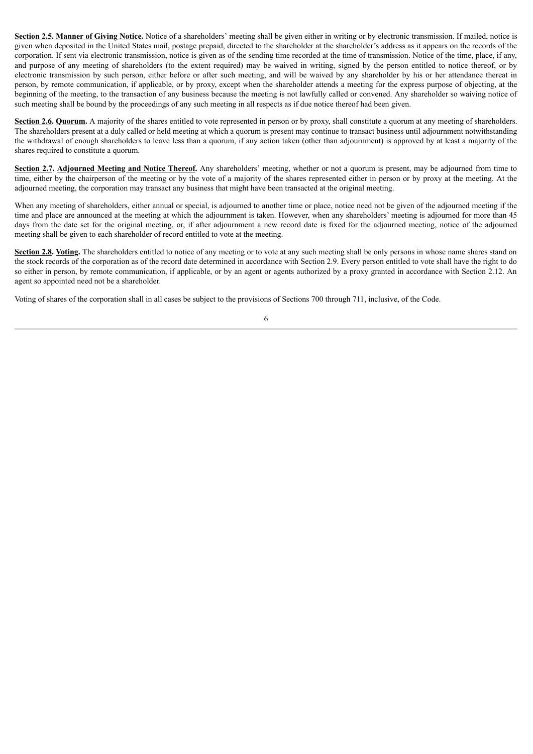**Section 2.5. Manner of Giving Notice.** Notice of a shareholders' meeting shall be given either in writing or by electronic transmission. If mailed, notice is given when deposited in the United States mail, postage prepaid, directed to the shareholder at the shareholder's address as it appears on the records of the corporation. If sent via electronic transmission, notice is given as of the sending time recorded at the time of transmission. Notice of the time, place, if any, and purpose of any meeting of shareholders (to the extent required) may be waived in writing, signed by the person entitled to notice thereof, or by electronic transmission by such person, either before or after such meeting, and will be waived by any shareholder by his or her attendance thereat in person, by remote communication, if applicable, or by proxy, except when the shareholder attends a meeting for the express purpose of objecting, at the beginning of the meeting, to the transaction of any business because the meeting is not lawfully called or convened. Any shareholder so waiving notice of such meeting shall be bound by the proceedings of any such meeting in all respects as if due notice thereof had been given.

**Section 2.6. Quorum.** A majority of the shares entitled to vote represented in person or by proxy, shall constitute a quorum at any meeting of shareholders. The shareholders present at a duly called or held meeting at which a quorum is present may continue to transact business until adjournment notwithstanding the withdrawal of enough shareholders to leave less than a quorum, if any action taken (other than adjournment) is approved by at least a majority of the shares required to constitute a quorum.

**Section 2.7. Adjourned Meeting and Notice Thereof.** Any shareholders' meeting, whether or not a quorum is present, may be adjourned from time to time, either by the chairperson of the meeting or by the vote of a majority of the shares represented either in person or by proxy at the meeting. At the adjourned meeting, the corporation may transact any business that might have been transacted at the original meeting.

When any meeting of shareholders, either annual or special, is adjourned to another time or place, notice need not be given of the adjourned meeting if the time and place are announced at the meeting at which the adjournment is taken. However, when any shareholders' meeting is adjourned for more than 45 days from the date set for the original meeting, or, if after adjournment a new record date is fixed for the adjourned meeting, notice of the adjourned meeting shall be given to each shareholder of record entitled to vote at the meeting.

**Section 2.8. Voting.** The shareholders entitled to notice of any meeting or to vote at any such meeting shall be only persons in whose name shares stand on the stock records of the corporation as of the record date determined in accordance with Section 2.9. Every person entitled to vote shall have the right to do so either in person, by remote communication, if applicable, or by an agent or agents authorized by a proxy granted in accordance with Section 2.12. An agent so appointed need not be a shareholder.

Voting of shares of the corporation shall in all cases be subject to the provisions of Sections 700 through 711, inclusive, of the Code.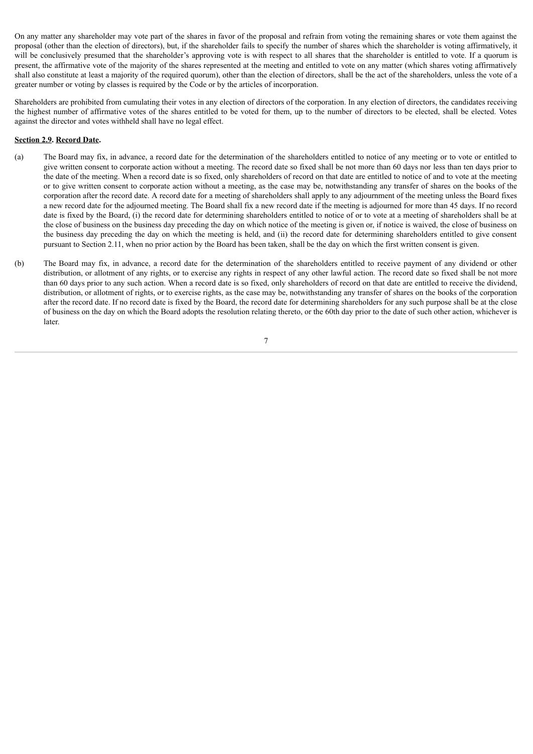On any matter any shareholder may vote part of the shares in favor of the proposal and refrain from voting the remaining shares or vote them against the proposal (other than the election of directors), but, if the shareholder fails to specify the number of shares which the shareholder is voting affirmatively, it will be conclusively presumed that the shareholder's approving vote is with respect to all shares that the shareholder is entitled to vote. If a quorum is present, the affirmative vote of the majority of the shares represented at the meeting and entitled to vote on any matter (which shares voting affirmatively shall also constitute at least a majority of the required quorum), other than the election of directors, shall be the act of the shareholders, unless the vote of a greater number or voting by classes is required by the Code or by the articles of incorporation.

Shareholders are prohibited from cumulating their votes in any election of directors of the corporation. In any election of directors, the candidates receiving the highest number of affirmative votes of the shares entitled to be voted for them, up to the number of directors to be elected, shall be elected. Votes against the director and votes withheld shall have no legal effect.

## **Section 2.9. Record Date.**

- (a) The Board may fix, in advance, a record date for the determination of the shareholders entitled to notice of any meeting or to vote or entitled to give written consent to corporate action without a meeting. The record date so fixed shall be not more than 60 days nor less than ten days prior to the date of the meeting. When a record date is so fixed, only shareholders of record on that date are entitled to notice of and to vote at the meeting or to give written consent to corporate action without a meeting, as the case may be, notwithstanding any transfer of shares on the books of the corporation after the record date. A record date for a meeting of shareholders shall apply to any adjournment of the meeting unless the Board fixes a new record date for the adjourned meeting. The Board shall fix a new record date if the meeting is adjourned for more than 45 days. If no record date is fixed by the Board, (i) the record date for determining shareholders entitled to notice of or to vote at a meeting of shareholders shall be at the close of business on the business day preceding the day on which notice of the meeting is given or, if notice is waived, the close of business on the business day preceding the day on which the meeting is held, and (ii) the record date for determining shareholders entitled to give consent pursuant to Section 2.11, when no prior action by the Board has been taken, shall be the day on which the first written consent is given.
- (b) The Board may fix, in advance, a record date for the determination of the shareholders entitled to receive payment of any dividend or other distribution, or allotment of any rights, or to exercise any rights in respect of any other lawful action. The record date so fixed shall be not more than 60 days prior to any such action. When a record date is so fixed, only shareholders of record on that date are entitled to receive the dividend, distribution, or allotment of rights, or to exercise rights, as the case may be, notwithstanding any transfer of shares on the books of the corporation after the record date. If no record date is fixed by the Board, the record date for determining shareholders for any such purpose shall be at the close of business on the day on which the Board adopts the resolution relating thereto, or the 60th day prior to the date of such other action, whichever is later.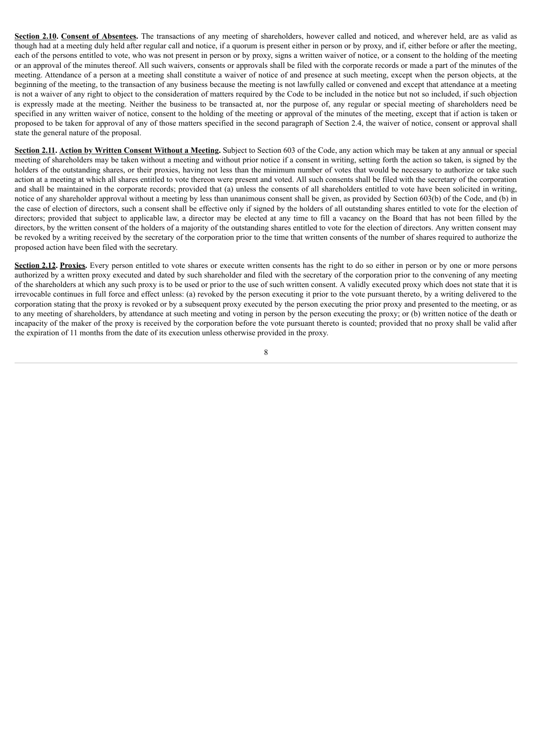**Section 2.10. Consent of Absentees.** The transactions of any meeting of shareholders, however called and noticed, and wherever held, are as valid as though had at a meeting duly held after regular call and notice, if a quorum is present either in person or by proxy, and if, either before or after the meeting, each of the persons entitled to vote, who was not present in person or by proxy, signs a written waiver of notice, or a consent to the holding of the meeting or an approval of the minutes thereof. All such waivers, consents or approvals shall be filed with the corporate records or made a part of the minutes of the meeting. Attendance of a person at a meeting shall constitute a waiver of notice of and presence at such meeting, except when the person objects, at the beginning of the meeting, to the transaction of any business because the meeting is not lawfully called or convened and except that attendance at a meeting is not a waiver of any right to object to the consideration of matters required by the Code to be included in the notice but not so included, if such objection is expressly made at the meeting. Neither the business to be transacted at, nor the purpose of, any regular or special meeting of shareholders need be specified in any written waiver of notice, consent to the holding of the meeting or approval of the minutes of the meeting, except that if action is taken or proposed to be taken for approval of any of those matters specified in the second paragraph of Section 2.4, the waiver of notice, consent or approval shall state the general nature of the proposal.

**Section 2.11. Action by Written Consent Without a Meeting.** Subject to Section 603 of the Code, any action which may be taken at any annual or special meeting of shareholders may be taken without a meeting and without prior notice if a consent in writing, setting forth the action so taken, is signed by the holders of the outstanding shares, or their proxies, having not less than the minimum number of votes that would be necessary to authorize or take such action at a meeting at which all shares entitled to vote thereon were present and voted. All such consents shall be filed with the secretary of the corporation and shall be maintained in the corporate records; provided that (a) unless the consents of all shareholders entitled to vote have been solicited in writing, notice of any shareholder approval without a meeting by less than unanimous consent shall be given, as provided by Section 603(b) of the Code, and (b) in the case of election of directors, such a consent shall be effective only if signed by the holders of all outstanding shares entitled to vote for the election of directors; provided that subject to applicable law, a director may be elected at any time to fill a vacancy on the Board that has not been filled by the directors, by the written consent of the holders of a majority of the outstanding shares entitled to vote for the election of directors. Any written consent may be revoked by a writing received by the secretary of the corporation prior to the time that written consents of the number of shares required to authorize the proposed action have been filed with the secretary.

**Section 2.12. Proxies.** Every person entitled to vote shares or execute written consents has the right to do so either in person or by one or more persons authorized by a written proxy executed and dated by such shareholder and filed with the secretary of the corporation prior to the convening of any meeting of the shareholders at which any such proxy is to be used or prior to the use of such written consent. A validly executed proxy which does not state that it is irrevocable continues in full force and effect unless: (a) revoked by the person executing it prior to the vote pursuant thereto, by a writing delivered to the corporation stating that the proxy is revoked or by a subsequent proxy executed by the person executing the prior proxy and presented to the meeting, or as to any meeting of shareholders, by attendance at such meeting and voting in person by the person executing the proxy; or (b) written notice of the death or incapacity of the maker of the proxy is received by the corporation before the vote pursuant thereto is counted; provided that no proxy shall be valid after the expiration of 11 months from the date of its execution unless otherwise provided in the proxy.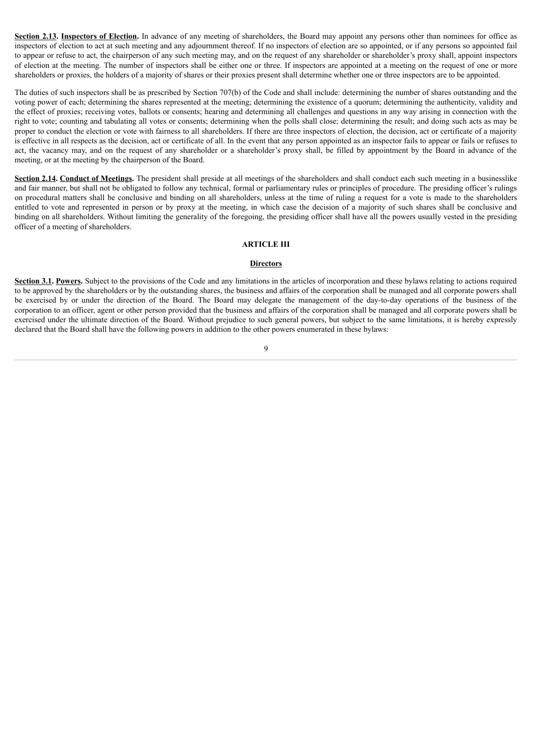**Section 2.13. Inspectors of Election.** In advance of any meeting of shareholders, the Board may appoint any persons other than nominees for office as inspectors of election to act at such meeting and any adjournment thereof. If no inspectors of election are so appointed, or if any persons so appointed fail to appear or refuse to act, the chairperson of any such meeting may, and on the request of any shareholder or shareholder's proxy shall, appoint inspectors of election at the meeting. The number of inspectors shall be either one or three. If inspectors are appointed at a meeting on the request of one or more shareholders or proxies, the holders of a majority of shares or their proxies present shall determine whether one or three inspectors are to be appointed.

The duties of such inspectors shall be as prescribed by Section 707(b) of the Code and shall include: determining the number of shares outstanding and the voting power of each; determining the shares represented at the meeting; determining the existence of a quorum; determining the authenticity, validity and the effect of proxies; receiving votes, ballots or consents; hearing and determining all challenges and questions in any way arising in connection with the right to vote; counting and tabulating all votes or consents; determining when the polls shall close; determining the result; and doing such acts as may be proper to conduct the election or vote with fairness to all shareholders. If there are three inspectors of election, the decision, act or certificate of a majority is effective in all respects as the decision, act or certificate of all. In the event that any person appointed as an inspector fails to appear or fails or refuses to act, the vacancy may, and on the request of any shareholder or a shareholder's proxy shall, be filled by appointment by the Board in advance of the meeting, or at the meeting by the chairperson of the Board.

**Section 2.14. Conduct of Meetings.** The president shall preside at all meetings of the shareholders and shall conduct each such meeting in a businesslike and fair manner, but shall not be obligated to follow any technical, formal or parliamentary rules or principles of procedure. The presiding officer's rulings on procedural matters shall be conclusive and binding on all shareholders, unless at the time of ruling a request for a vote is made to the shareholders entitled to vote and represented in person or by proxy at the meeting, in which case the decision of a majority of such shares shall be conclusive and binding on all shareholders. Without limiting the generality of the foregoing, the presiding officer shall have all the powers usually vested in the presiding officer of a meeting of shareholders.

## **ARTICLE III**

#### **Directors**

**Section 3.1. Powers.** Subject to the provisions of the Code and any limitations in the articles of incorporation and these bylaws relating to actions required to be approved by the shareholders or by the outstanding shares, the business and affairs of the corporation shall be managed and all corporate powers shall be exercised by or under the direction of the Board. The Board may delegate the management of the day-to-day operations of the business of the corporation to an officer, agent or other person provided that the business and affairs of the corporation shall be managed and all corporate powers shall be exercised under the ultimate direction of the Board. Without prejudice to such general powers, but subject to the same limitations, it is hereby expressly declared that the Board shall have the following powers in addition to the other powers enumerated in these bylaws:

## $\alpha$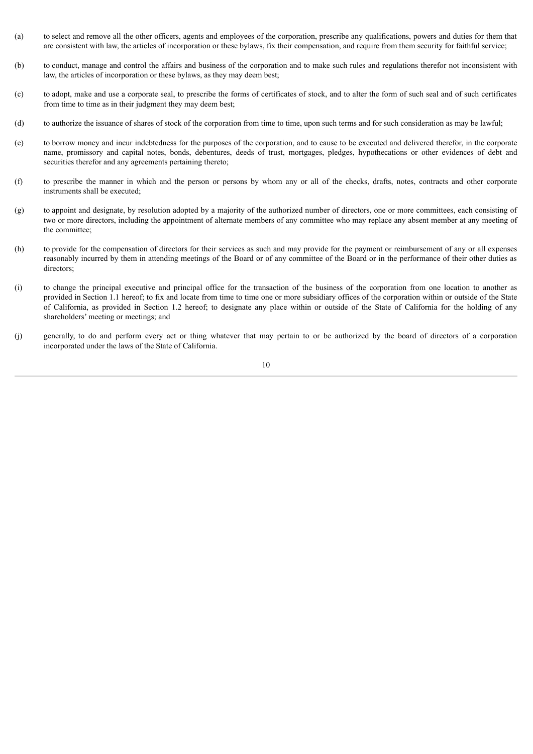- (a) to select and remove all the other officers, agents and employees of the corporation, prescribe any qualifications, powers and duties for them that are consistent with law, the articles of incorporation or these bylaws, fix their compensation, and require from them security for faithful service;
- (b) to conduct, manage and control the affairs and business of the corporation and to make such rules and regulations therefor not inconsistent with law, the articles of incorporation or these bylaws, as they may deem best;
- (c) to adopt, make and use a corporate seal, to prescribe the forms of certificates of stock, and to alter the form of such seal and of such certificates from time to time as in their judgment they may deem best;
- (d) to authorize the issuance of shares of stock of the corporation from time to time, upon such terms and for such consideration as may be lawful;
- (e) to borrow money and incur indebtedness for the purposes of the corporation, and to cause to be executed and delivered therefor, in the corporate name, promissory and capital notes, bonds, debentures, deeds of trust, mortgages, pledges, hypothecations or other evidences of debt and securities therefor and any agreements pertaining thereto;
- (f) to prescribe the manner in which and the person or persons by whom any or all of the checks, drafts, notes, contracts and other corporate instruments shall be executed;
- (g) to appoint and designate, by resolution adopted by a majority of the authorized number of directors, one or more committees, each consisting of two or more directors, including the appointment of alternate members of any committee who may replace any absent member at any meeting of the committee;
- (h) to provide for the compensation of directors for their services as such and may provide for the payment or reimbursement of any or all expenses reasonably incurred by them in attending meetings of the Board or of any committee of the Board or in the performance of their other duties as directors;
- (i) to change the principal executive and principal office for the transaction of the business of the corporation from one location to another as provided in Section 1.1 hereof; to fix and locate from time to time one or more subsidiary offices of the corporation within or outside of the State of California, as provided in Section 1.2 hereof; to designate any place within or outside of the State of California for the holding of any shareholders' meeting or meetings; and
- (j) generally, to do and perform every act or thing whatever that may pertain to or be authorized by the board of directors of a corporation incorporated under the laws of the State of California.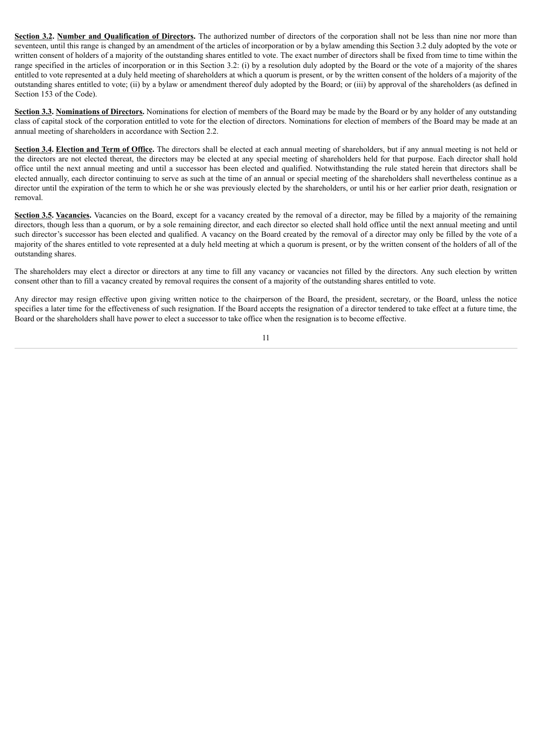**Section 3.2. Number and Qualification of Directors.** The authorized number of directors of the corporation shall not be less than nine nor more than seventeen, until this range is changed by an amendment of the articles of incorporation or by a bylaw amending this Section 3.2 duly adopted by the vote or written consent of holders of a majority of the outstanding shares entitled to vote. The exact number of directors shall be fixed from time to time within the range specified in the articles of incorporation or in this Section 3.2: (i) by a resolution duly adopted by the Board or the vote of a majority of the shares entitled to vote represented at a duly held meeting of shareholders at which a quorum is present, or by the written consent of the holders of a majority of the outstanding shares entitled to vote; (ii) by a bylaw or amendment thereof duly adopted by the Board; or (iii) by approval of the shareholders (as defined in Section 153 of the Code).

**Section 3.3. Nominations of Directors.** Nominations for election of members of the Board may be made by the Board or by any holder of any outstanding class of capital stock of the corporation entitled to vote for the election of directors. Nominations for election of members of the Board may be made at an annual meeting of shareholders in accordance with Section 2.2.

**Section 3.4. Election and Term of Office.** The directors shall be elected at each annual meeting of shareholders, but if any annual meeting is not held or the directors are not elected thereat, the directors may be elected at any special meeting of shareholders held for that purpose. Each director shall hold office until the next annual meeting and until a successor has been elected and qualified. Notwithstanding the rule stated herein that directors shall be elected annually, each director continuing to serve as such at the time of an annual or special meeting of the shareholders shall nevertheless continue as a director until the expiration of the term to which he or she was previously elected by the shareholders, or until his or her earlier prior death, resignation or removal.

**Section 3.5. Vacancies.** Vacancies on the Board, except for a vacancy created by the removal of a director, may be filled by a majority of the remaining directors, though less than a quorum, or by a sole remaining director, and each director so elected shall hold office until the next annual meeting and until such director's successor has been elected and qualified. A vacancy on the Board created by the removal of a director may only be filled by the vote of a majority of the shares entitled to vote represented at a duly held meeting at which a quorum is present, or by the written consent of the holders of all of the outstanding shares.

The shareholders may elect a director or directors at any time to fill any vacancy or vacancies not filled by the directors. Any such election by written consent other than to fill a vacancy created by removal requires the consent of a majority of the outstanding shares entitled to vote.

Any director may resign effective upon giving written notice to the chairperson of the Board, the president, secretary, or the Board, unless the notice specifies a later time for the effectiveness of such resignation. If the Board accepts the resignation of a director tendered to take effect at a future time, the Board or the shareholders shall have power to elect a successor to take office when the resignation is to become effective.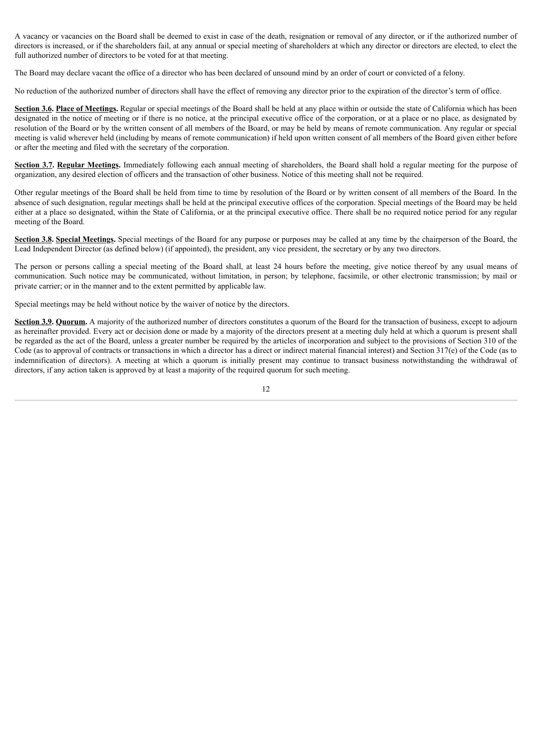A vacancy or vacancies on the Board shall be deemed to exist in case of the death, resignation or removal of any director, or if the authorized number of directors is increased, or if the shareholders fail, at any annual or special meeting of shareholders at which any director or directors are elected, to elect the full authorized number of directors to be voted for at that meeting.

The Board may declare vacant the office of a director who has been declared of unsound mind by an order of court or convicted of a felony.

No reduction of the authorized number of directors shall have the effect of removing any director prior to the expiration of the director's term of office.

**Section 3.6. Place of Meetings.** Regular or special meetings of the Board shall be held at any place within or outside the state of California which has been designated in the notice of meeting or if there is no notice, at the principal executive office of the corporation, or at a place or no place, as designated by resolution of the Board or by the written consent of all members of the Board, or may be held by means of remote communication. Any regular or special meeting is valid wherever held (including by means of remote communication) if held upon written consent of all members of the Board given either before or after the meeting and filed with the secretary of the corporation.

**Section 3.7. Regular Meetings.** Immediately following each annual meeting of shareholders, the Board shall hold a regular meeting for the purpose of organization, any desired election of officers and the transaction of other business. Notice of this meeting shall not be required.

Other regular meetings of the Board shall be held from time to time by resolution of the Board or by written consent of all members of the Board. In the absence of such designation, regular meetings shall be held at the principal executive offices of the corporation. Special meetings of the Board may be held either at a place so designated, within the State of California, or at the principal executive office. There shall be no required notice period for any regular meeting of the Board.

**Section 3.8. Special Meetings.** Special meetings of the Board for any purpose or purposes may be called at any time by the chairperson of the Board, the Lead Independent Director (as defined below) (if appointed), the president, any vice president, the secretary or by any two directors.

The person or persons calling a special meeting of the Board shall, at least 24 hours before the meeting, give notice thereof by any usual means of communication. Such notice may be communicated, without limitation, in person; by telephone, facsimile, or other electronic transmission; by mail or private carrier; or in the manner and to the extent permitted by applicable law.

Special meetings may be held without notice by the waiver of notice by the directors.

**Section 3.9. Quorum.** A majority of the authorized number of directors constitutes a quorum of the Board for the transaction of business, except to adjourn as hereinafter provided. Every act or decision done or made by a majority of the directors present at a meeting duly held at which a quorum is present shall be regarded as the act of the Board, unless a greater number be required by the articles of incorporation and subject to the provisions of Section 310 of the Code (as to approval of contracts or transactions in which a director has a direct or indirect material financial interest) and Section 317(e) of the Code (as to indemnification of directors). A meeting at which a quorum is initially present may continue to transact business notwithstanding the withdrawal of directors, if any action taken is approved by at least a majority of the required quorum for such meeting.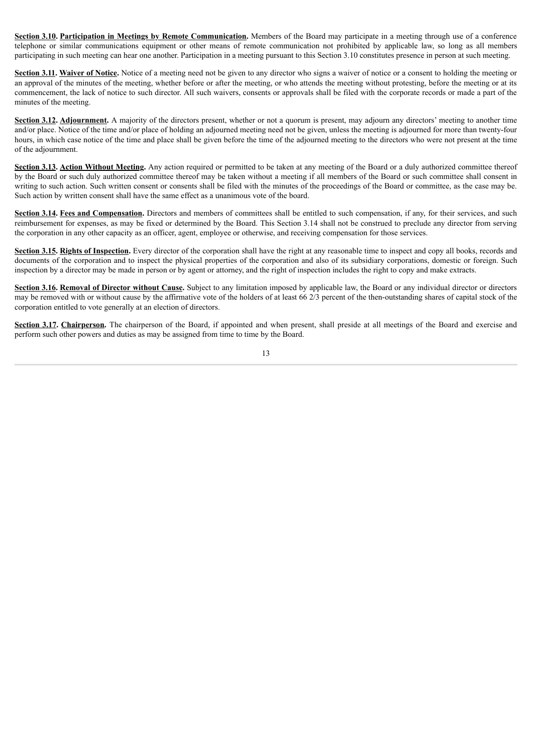**Section 3.10. Participation in Meetings by Remote Communication.** Members of the Board may participate in a meeting through use of a conference telephone or similar communications equipment or other means of remote communication not prohibited by applicable law, so long as all members participating in such meeting can hear one another. Participation in a meeting pursuant to this Section 3.10 constitutes presence in person at such meeting.

**Section 3.11. Waiver of Notice.** Notice of a meeting need not be given to any director who signs a waiver of notice or a consent to holding the meeting or an approval of the minutes of the meeting, whether before or after the meeting, or who attends the meeting without protesting, before the meeting or at its commencement, the lack of notice to such director. All such waivers, consents or approvals shall be filed with the corporate records or made a part of the minutes of the meeting.

**Section 3.12. Adjournment.** A majority of the directors present, whether or not a quorum is present, may adjourn any directors' meeting to another time and/or place. Notice of the time and/or place of holding an adjourned meeting need not be given, unless the meeting is adjourned for more than twenty-four hours, in which case notice of the time and place shall be given before the time of the adjourned meeting to the directors who were not present at the time of the adjournment.

**Section 3.13. Action Without Meeting.** Any action required or permitted to be taken at any meeting of the Board or a duly authorized committee thereof by the Board or such duly authorized committee thereof may be taken without a meeting if all members of the Board or such committee shall consent in writing to such action. Such written consent or consents shall be filed with the minutes of the proceedings of the Board or committee, as the case may be. Such action by written consent shall have the same effect as a unanimous vote of the board.

**Section 3.14. Fees and Compensation.** Directors and members of committees shall be entitled to such compensation, if any, for their services, and such reimbursement for expenses, as may be fixed or determined by the Board. This Section 3.14 shall not be construed to preclude any director from serving the corporation in any other capacity as an officer, agent, employee or otherwise, and receiving compensation for those services.

**Section 3.15. Rights of Inspection.** Every director of the corporation shall have the right at any reasonable time to inspect and copy all books, records and documents of the corporation and to inspect the physical properties of the corporation and also of its subsidiary corporations, domestic or foreign. Such inspection by a director may be made in person or by agent or attorney, and the right of inspection includes the right to copy and make extracts.

**Section 3.16. Removal of Director without Cause.** Subject to any limitation imposed by applicable law, the Board or any individual director or directors may be removed with or without cause by the affirmative vote of the holders of at least 66 2/3 percent of the then-outstanding shares of capital stock of the corporation entitled to vote generally at an election of directors.

**Section 3.17. Chairperson.** The chairperson of the Board, if appointed and when present, shall preside at all meetings of the Board and exercise and perform such other powers and duties as may be assigned from time to time by the Board.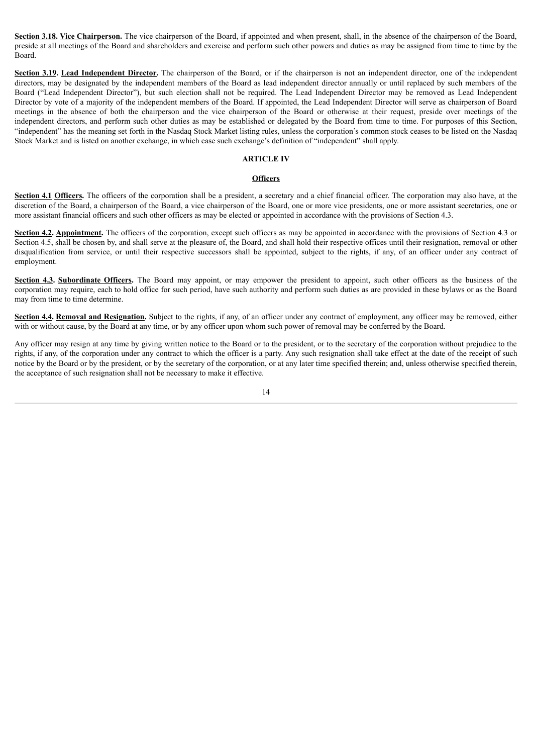**Section 3.18. Vice Chairperson.** The vice chairperson of the Board, if appointed and when present, shall, in the absence of the chairperson of the Board, preside at all meetings of the Board and shareholders and exercise and perform such other powers and duties as may be assigned from time to time by the Board.

**Section 3.19. Lead Independent Director.** The chairperson of the Board, or if the chairperson is not an independent director, one of the independent directors, may be designated by the independent members of the Board as lead independent director annually or until replaced by such members of the Board ("Lead Independent Director"), but such election shall not be required. The Lead Independent Director may be removed as Lead Independent Director by vote of a majority of the independent members of the Board. If appointed, the Lead Independent Director will serve as chairperson of Board meetings in the absence of both the chairperson and the vice chairperson of the Board or otherwise at their request, preside over meetings of the independent directors, and perform such other duties as may be established or delegated by the Board from time to time. For purposes of this Section, "independent" has the meaning set forth in the Nasdaq Stock Market listing rules, unless the corporation's common stock ceases to be listed on the Nasdaq Stock Market and is listed on another exchange, in which case such exchange's definition of "independent" shall apply.

## **ARTICLE IV**

#### **Officers**

**Section 4.1 Officers.** The officers of the corporation shall be a president, a secretary and a chief financial officer. The corporation may also have, at the discretion of the Board, a chairperson of the Board, a vice chairperson of the Board, one or more vice presidents, one or more assistant secretaries, one or more assistant financial officers and such other officers as may be elected or appointed in accordance with the provisions of Section 4.3.

**Section 4.2. Appointment.** The officers of the corporation, except such officers as may be appointed in accordance with the provisions of Section 4.3 or Section 4.5, shall be chosen by, and shall serve at the pleasure of, the Board, and shall hold their respective offices until their resignation, removal or other disqualification from service, or until their respective successors shall be appointed, subject to the rights, if any, of an officer under any contract of employment.

**Section 4.3. Subordinate Officers.** The Board may appoint, or may empower the president to appoint, such other officers as the business of the corporation may require, each to hold office for such period, have such authority and perform such duties as are provided in these bylaws or as the Board may from time to time determine.

**Section 4.4. Removal and Resignation.** Subject to the rights, if any, of an officer under any contract of employment, any officer may be removed, either with or without cause, by the Board at any time, or by any officer upon whom such power of removal may be conferred by the Board.

Any officer may resign at any time by giving written notice to the Board or to the president, or to the secretary of the corporation without prejudice to the rights, if any, of the corporation under any contract to which the officer is a party. Any such resignation shall take effect at the date of the receipt of such notice by the Board or by the president, or by the secretary of the corporation, or at any later time specified therein; and, unless otherwise specified therein, the acceptance of such resignation shall not be necessary to make it effective.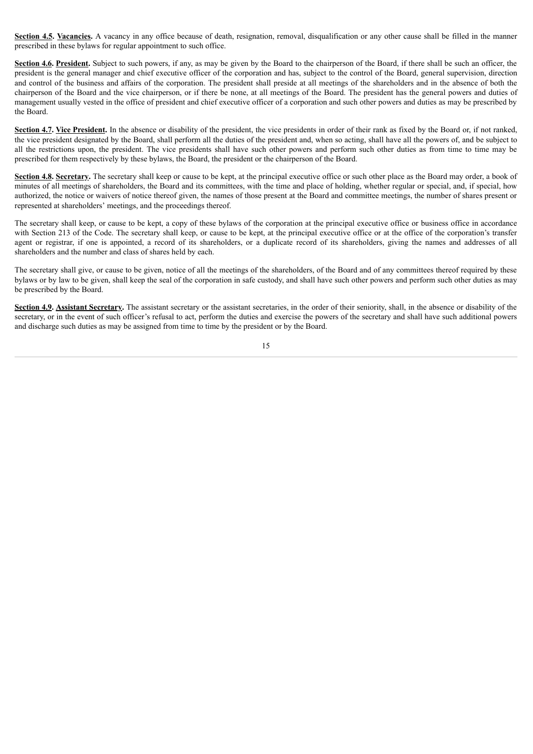**Section 4.5. Vacancies.** A vacancy in any office because of death, resignation, removal, disqualification or any other cause shall be filled in the manner prescribed in these bylaws for regular appointment to such office.

**Section 4.6. President.** Subject to such powers, if any, as may be given by the Board to the chairperson of the Board, if there shall be such an officer, the president is the general manager and chief executive officer of the corporation and has, subject to the control of the Board, general supervision, direction and control of the business and affairs of the corporation. The president shall preside at all meetings of the shareholders and in the absence of both the chairperson of the Board and the vice chairperson, or if there be none, at all meetings of the Board. The president has the general powers and duties of management usually vested in the office of president and chief executive officer of a corporation and such other powers and duties as may be prescribed by the Board.

**Section 4.7. Vice President.** In the absence or disability of the president, the vice presidents in order of their rank as fixed by the Board or, if not ranked, the vice president designated by the Board, shall perform all the duties of the president and, when so acting, shall have all the powers of, and be subject to all the restrictions upon, the president. The vice presidents shall have such other powers and perform such other duties as from time to time may be prescribed for them respectively by these bylaws, the Board, the president or the chairperson of the Board.

**Section 4.8. Secretary.** The secretary shall keep or cause to be kept, at the principal executive office or such other place as the Board may order, a book of minutes of all meetings of shareholders, the Board and its committees, with the time and place of holding, whether regular or special, and, if special, how authorized, the notice or waivers of notice thereof given, the names of those present at the Board and committee meetings, the number of shares present or represented at shareholders' meetings, and the proceedings thereof.

The secretary shall keep, or cause to be kept, a copy of these bylaws of the corporation at the principal executive office or business office in accordance with Section 213 of the Code. The secretary shall keep, or cause to be kept, at the principal executive office or at the office of the corporation's transfer agent or registrar, if one is appointed, a record of its shareholders, or a duplicate record of its shareholders, giving the names and addresses of all shareholders and the number and class of shares held by each.

The secretary shall give, or cause to be given, notice of all the meetings of the shareholders, of the Board and of any committees thereof required by these bylaws or by law to be given, shall keep the seal of the corporation in safe custody, and shall have such other powers and perform such other duties as may be prescribed by the Board.

**Section 4.9.** Assistant Secretary. The assistant secretary or the assistant secretaries, in the order of their seniority, shall, in the absence or disability of the secretary, or in the event of such officer's refusal to act, perform the duties and exercise the powers of the secretary and shall have such additional powers and discharge such duties as may be assigned from time to time by the president or by the Board.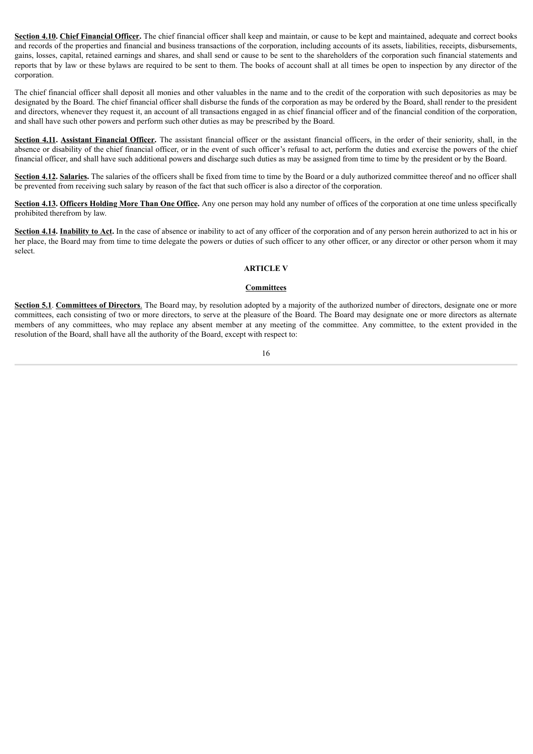**Section 4.10. Chief Financial Officer.** The chief financial officer shall keep and maintain, or cause to be kept and maintained, adequate and correct books and records of the properties and financial and business transactions of the corporation, including accounts of its assets, liabilities, receipts, disbursements, gains, losses, capital, retained earnings and shares, and shall send or cause to be sent to the shareholders of the corporation such financial statements and reports that by law or these bylaws are required to be sent to them. The books of account shall at all times be open to inspection by any director of the corporation.

The chief financial officer shall deposit all monies and other valuables in the name and to the credit of the corporation with such depositories as may be designated by the Board. The chief financial officer shall disburse the funds of the corporation as may be ordered by the Board, shall render to the president and directors, whenever they request it, an account of all transactions engaged in as chief financial officer and of the financial condition of the corporation, and shall have such other powers and perform such other duties as may be prescribed by the Board.

**Section 4.11. Assistant Financial Officer.** The assistant financial officer or the assistant financial officers, in the order of their seniority, shall, in the absence or disability of the chief financial officer, or in the event of such officer's refusal to act, perform the duties and exercise the powers of the chief financial officer, and shall have such additional powers and discharge such duties as may be assigned from time to time by the president or by the Board.

Section 4.12. Salaries. The salaries of the officers shall be fixed from time to time by the Board or a duly authorized committee thereof and no officer shall be prevented from receiving such salary by reason of the fact that such officer is also a director of the corporation.

**Section 4.13. Officers Holding More Than One Office.** Any one person may hold any number of offices of the corporation at one time unless specifically prohibited therefrom by law.

**Section 4.14. Inability to Act.** In the case of absence or inability to act of any officer of the corporation and of any person herein authorized to act in his or her place, the Board may from time to time delegate the powers or duties of such officer to any other officer, or any director or other person whom it may select.

## **ARTICLE V**

#### **Committees**

**Section 5.1**. **Committees of Directors**. The Board may, by resolution adopted by a majority of the authorized number of directors, designate one or more committees, each consisting of two or more directors, to serve at the pleasure of the Board. The Board may designate one or more directors as alternate members of any committees, who may replace any absent member at any meeting of the committee. Any committee, to the extent provided in the resolution of the Board, shall have all the authority of the Board, except with respect to: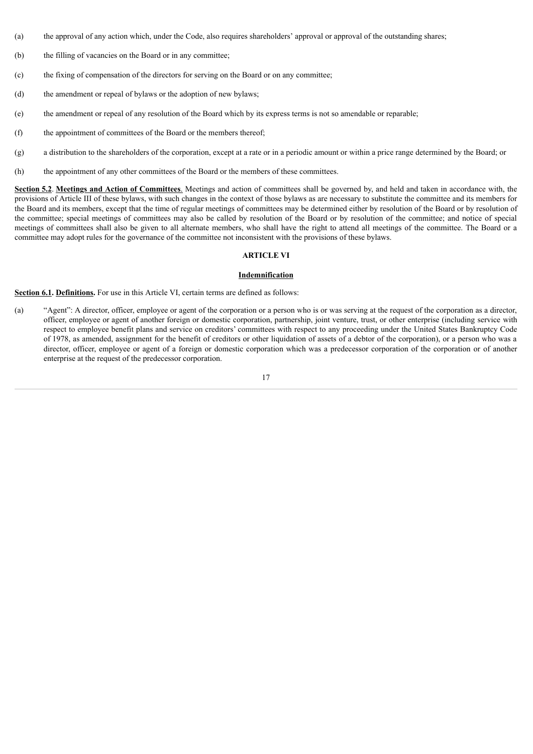- (a) the approval of any action which, under the Code, also requires shareholders' approval or approval of the outstanding shares;
- (b) the filling of vacancies on the Board or in any committee;
- (c) the fixing of compensation of the directors for serving on the Board or on any committee;
- (d) the amendment or repeal of bylaws or the adoption of new bylaws;
- (e) the amendment or repeal of any resolution of the Board which by its express terms is not so amendable or reparable;
- (f) the appointment of committees of the Board or the members thereof;
- (g) a distribution to the shareholders of the corporation, except at a rate or in a periodic amount or within a price range determined by the Board; or
- (h) the appointment of any other committees of the Board or the members of these committees.

**Section 5.2**. **Meetings and Action of Committees**. Meetings and action of committees shall be governed by, and held and taken in accordance with, the provisions of Article III of these bylaws, with such changes in the context of those bylaws as are necessary to substitute the committee and its members for the Board and its members, except that the time of regular meetings of committees may be determined either by resolution of the Board or by resolution of the committee; special meetings of committees may also be called by resolution of the Board or by resolution of the committee; and notice of special meetings of committees shall also be given to all alternate members, who shall have the right to attend all meetings of the committee. The Board or a committee may adopt rules for the governance of the committee not inconsistent with the provisions of these bylaws.

## **ARTICLE VI**

#### **Indemnification**

**Section 6.1. Definitions.** For use in this Article VI, certain terms are defined as follows:

(a) "Agent": A director, officer, employee or agent of the corporation or a person who is or was serving at the request of the corporation as a director, officer, employee or agent of another foreign or domestic corporation, partnership, joint venture, trust, or other enterprise (including service with respect to employee benefit plans and service on creditors' committees with respect to any proceeding under the United States Bankruptcy Code of 1978, as amended, assignment for the benefit of creditors or other liquidation of assets of a debtor of the corporation), or a person who was a director, officer, employee or agent of a foreign or domestic corporation which was a predecessor corporation of the corporation or of another enterprise at the request of the predecessor corporation.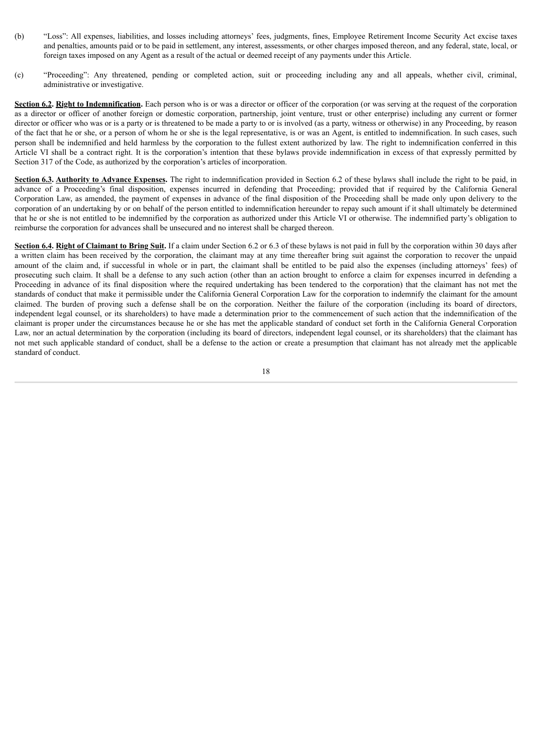- (b) "Loss": All expenses, liabilities, and losses including attorneys' fees, judgments, fines, Employee Retirement Income Security Act excise taxes and penalties, amounts paid or to be paid in settlement, any interest, assessments, or other charges imposed thereon, and any federal, state, local, or foreign taxes imposed on any Agent as a result of the actual or deemed receipt of any payments under this Article.
- (c) "Proceeding": Any threatened, pending or completed action, suit or proceeding including any and all appeals, whether civil, criminal, administrative or investigative.

**Section 6.2. Right to Indemnification.** Each person who is or was a director or officer of the corporation (or was serving at the request of the corporation as a director or officer of another foreign or domestic corporation, partnership, joint venture, trust or other enterprise) including any current or former director or officer who was or is a party or is threatened to be made a party to or is involved (as a party, witness or otherwise) in any Proceeding, by reason of the fact that he or she, or a person of whom he or she is the legal representative, is or was an Agent, is entitled to indemnification. In such cases, such person shall be indemnified and held harmless by the corporation to the fullest extent authorized by law. The right to indemnification conferred in this Article VI shall be a contract right. It is the corporation's intention that these bylaws provide indemnification in excess of that expressly permitted by Section 317 of the Code, as authorized by the corporation's articles of incorporation.

**Section 6.3. Authority to Advance Expenses.** The right to indemnification provided in Section 6.2 of these bylaws shall include the right to be paid, in advance of a Proceeding's final disposition, expenses incurred in defending that Proceeding; provided that if required by the California General Corporation Law, as amended, the payment of expenses in advance of the final disposition of the Proceeding shall be made only upon delivery to the corporation of an undertaking by or on behalf of the person entitled to indemnification hereunder to repay such amount if it shall ultimately be determined that he or she is not entitled to be indemnified by the corporation as authorized under this Article VI or otherwise. The indemnified party's obligation to reimburse the corporation for advances shall be unsecured and no interest shall be charged thereon.

**Section 6.4. Right of Claimant to Bring Suit.** If a claim under Section 6.2 or 6.3 of these bylaws is not paid in full by the corporation within 30 days after a written claim has been received by the corporation, the claimant may at any time thereafter bring suit against the corporation to recover the unpaid amount of the claim and, if successful in whole or in part, the claimant shall be entitled to be paid also the expenses (including attorneys' fees) of prosecuting such claim. It shall be a defense to any such action (other than an action brought to enforce a claim for expenses incurred in defending a Proceeding in advance of its final disposition where the required undertaking has been tendered to the corporation) that the claimant has not met the standards of conduct that make it permissible under the California General Corporation Law for the corporation to indemnify the claimant for the amount claimed. The burden of proving such a defense shall be on the corporation. Neither the failure of the corporation (including its board of directors, independent legal counsel, or its shareholders) to have made a determination prior to the commencement of such action that the indemnification of the claimant is proper under the circumstances because he or she has met the applicable standard of conduct set forth in the California General Corporation Law, nor an actual determination by the corporation (including its board of directors, independent legal counsel, or its shareholders) that the claimant has not met such applicable standard of conduct, shall be a defense to the action or create a presumption that claimant has not already met the applicable standard of conduct.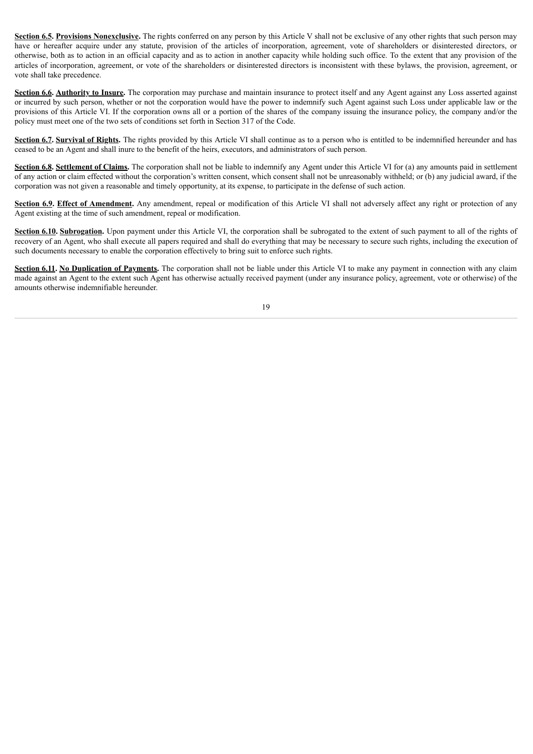**Section 6.5. Provisions Nonexclusive.** The rights conferred on any person by this Article V shall not be exclusive of any other rights that such person may have or hereafter acquire under any statute, provision of the articles of incorporation, agreement, vote of shareholders or disinterested directors, or otherwise, both as to action in an official capacity and as to action in another capacity while holding such office. To the extent that any provision of the articles of incorporation, agreement, or vote of the shareholders or disinterested directors is inconsistent with these bylaws, the provision, agreement, or vote shall take precedence.

**Section 6.6. Authority to Insure.** The corporation may purchase and maintain insurance to protect itself and any Agent against any Loss asserted against or incurred by such person, whether or not the corporation would have the power to indemnify such Agent against such Loss under applicable law or the provisions of this Article VI. If the corporation owns all or a portion of the shares of the company issuing the insurance policy, the company and/or the policy must meet one of the two sets of conditions set forth in Section 317 of the Code.

**Section 6.7. Survival of Rights.** The rights provided by this Article VI shall continue as to a person who is entitled to be indemnified hereunder and has ceased to be an Agent and shall inure to the benefit of the heirs, executors, and administrators of such person.

**Section 6.8. Settlement of Claims.** The corporation shall not be liable to indemnify any Agent under this Article VI for (a) any amounts paid in settlement of any action or claim effected without the corporation's written consent, which consent shall not be unreasonably withheld; or (b) any judicial award, if the corporation was not given a reasonable and timely opportunity, at its expense, to participate in the defense of such action.

**Section 6.9. Effect of Amendment.** Any amendment, repeal or modification of this Article VI shall not adversely affect any right or protection of any Agent existing at the time of such amendment, repeal or modification.

**Section 6.10. Subrogation.** Upon payment under this Article VI, the corporation shall be subrogated to the extent of such payment to all of the rights of recovery of an Agent, who shall execute all papers required and shall do everything that may be necessary to secure such rights, including the execution of such documents necessary to enable the corporation effectively to bring suit to enforce such rights.

**Section 6.11. No Duplication of Payments.** The corporation shall not be liable under this Article VI to make any payment in connection with any claim made against an Agent to the extent such Agent has otherwise actually received payment (under any insurance policy, agreement, vote or otherwise) of the amounts otherwise indemnifiable hereunder.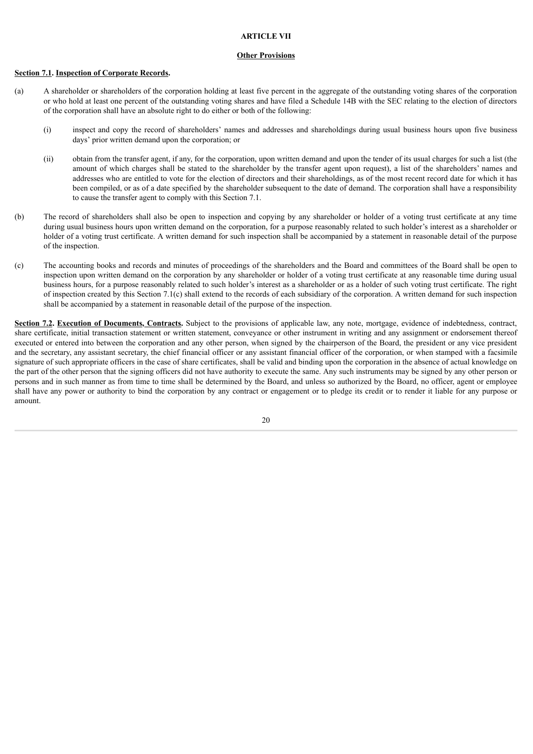## **ARTICLE VII**

### **Other Provisions**

#### **Section 7.1. Inspection of Corporate Records.**

- (a) A shareholder or shareholders of the corporation holding at least five percent in the aggregate of the outstanding voting shares of the corporation or who hold at least one percent of the outstanding voting shares and have filed a Schedule 14B with the SEC relating to the election of directors of the corporation shall have an absolute right to do either or both of the following:
	- (i) inspect and copy the record of shareholders' names and addresses and shareholdings during usual business hours upon five business days' prior written demand upon the corporation; or
	- (ii) obtain from the transfer agent, if any, for the corporation, upon written demand and upon the tender of its usual charges for such a list (the amount of which charges shall be stated to the shareholder by the transfer agent upon request), a list of the shareholders' names and addresses who are entitled to vote for the election of directors and their shareholdings, as of the most recent record date for which it has been compiled, or as of a date specified by the shareholder subsequent to the date of demand. The corporation shall have a responsibility to cause the transfer agent to comply with this Section 7.1.
- (b) The record of shareholders shall also be open to inspection and copying by any shareholder or holder of a voting trust certificate at any time during usual business hours upon written demand on the corporation, for a purpose reasonably related to such holder's interest as a shareholder or holder of a voting trust certificate. A written demand for such inspection shall be accompanied by a statement in reasonable detail of the purpose of the inspection.
- (c) The accounting books and records and minutes of proceedings of the shareholders and the Board and committees of the Board shall be open to inspection upon written demand on the corporation by any shareholder or holder of a voting trust certificate at any reasonable time during usual business hours, for a purpose reasonably related to such holder's interest as a shareholder or as a holder of such voting trust certificate. The right of inspection created by this Section 7.1(c) shall extend to the records of each subsidiary of the corporation. A written demand for such inspection shall be accompanied by a statement in reasonable detail of the purpose of the inspection.

**Section 7.2. Execution of Documents, Contracts.** Subject to the provisions of applicable law, any note, mortgage, evidence of indebtedness, contract, share certificate, initial transaction statement or written statement, conveyance or other instrument in writing and any assignment or endorsement thereof executed or entered into between the corporation and any other person, when signed by the chairperson of the Board, the president or any vice president and the secretary, any assistant secretary, the chief financial officer or any assistant financial officer of the corporation, or when stamped with a facsimile signature of such appropriate officers in the case of share certificates, shall be valid and binding upon the corporation in the absence of actual knowledge on the part of the other person that the signing officers did not have authority to execute the same. Any such instruments may be signed by any other person or persons and in such manner as from time to time shall be determined by the Board, and unless so authorized by the Board, no officer, agent or employee shall have any power or authority to bind the corporation by any contract or engagement or to pledge its credit or to render it liable for any purpose or amount.

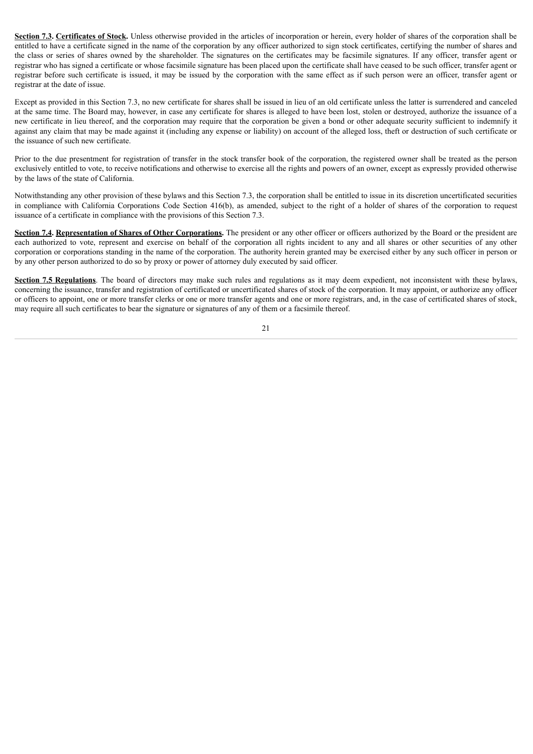**Section 7.3. Certificates of Stock.** Unless otherwise provided in the articles of incorporation or herein, every holder of shares of the corporation shall be entitled to have a certificate signed in the name of the corporation by any officer authorized to sign stock certificates, certifying the number of shares and the class or series of shares owned by the shareholder. The signatures on the certificates may be facsimile signatures. If any officer, transfer agent or registrar who has signed a certificate or whose facsimile signature has been placed upon the certificate shall have ceased to be such officer, transfer agent or registrar before such certificate is issued, it may be issued by the corporation with the same effect as if such person were an officer, transfer agent or registrar at the date of issue.

Except as provided in this Section 7.3, no new certificate for shares shall be issued in lieu of an old certificate unless the latter is surrendered and canceled at the same time. The Board may, however, in case any certificate for shares is alleged to have been lost, stolen or destroyed, authorize the issuance of a new certificate in lieu thereof, and the corporation may require that the corporation be given a bond or other adequate security sufficient to indemnify it against any claim that may be made against it (including any expense or liability) on account of the alleged loss, theft or destruction of such certificate or the issuance of such new certificate.

Prior to the due presentment for registration of transfer in the stock transfer book of the corporation, the registered owner shall be treated as the person exclusively entitled to vote, to receive notifications and otherwise to exercise all the rights and powers of an owner, except as expressly provided otherwise by the laws of the state of California.

Notwithstanding any other provision of these bylaws and this Section 7.3, the corporation shall be entitled to issue in its discretion uncertificated securities in compliance with California Corporations Code Section 416(b), as amended, subject to the right of a holder of shares of the corporation to request issuance of a certificate in compliance with the provisions of this Section 7.3.

**Section 7.4. Representation of Shares of Other Corporations.** The president or any other officer or officers authorized by the Board or the president are each authorized to vote, represent and exercise on behalf of the corporation all rights incident to any and all shares or other securities of any other corporation or corporations standing in the name of the corporation. The authority herein granted may be exercised either by any such officer in person or by any other person authorized to do so by proxy or power of attorney duly executed by said officer.

**Section 7.5 Regulations**. The board of directors may make such rules and regulations as it may deem expedient, not inconsistent with these bylaws, concerning the issuance, transfer and registration of certificated or uncertificated shares of stock of the corporation. It may appoint, or authorize any officer or officers to appoint, one or more transfer clerks or one or more transfer agents and one or more registrars, and, in the case of certificated shares of stock, may require all such certificates to bear the signature or signatures of any of them or a facsimile thereof.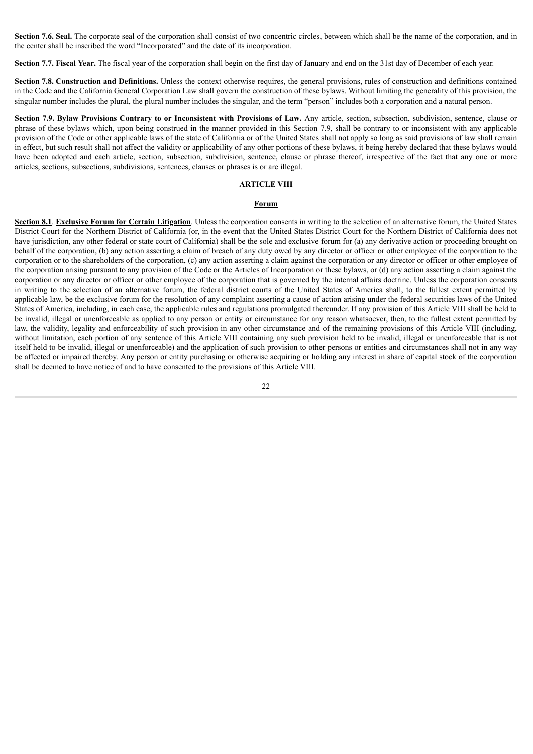**Section 7.6. Seal.** The corporate seal of the corporation shall consist of two concentric circles, between which shall be the name of the corporation, and in the center shall be inscribed the word "Incorporated" and the date of its incorporation.

**Section 7.7. Fiscal Year.** The fiscal year of the corporation shall begin on the first day of January and end on the 31st day of December of each year.

**Section 7.8. Construction and Definitions.** Unless the context otherwise requires, the general provisions, rules of construction and definitions contained in the Code and the California General Corporation Law shall govern the construction of these bylaws. Without limiting the generality of this provision, the singular number includes the plural, the plural number includes the singular, and the term "person" includes both a corporation and a natural person.

Section 7.9. Bylaw Provisions Contrary to or Inconsistent with Provisions of Law. Any article, section, subsection, subdivision, sentence, clause or phrase of these bylaws which, upon being construed in the manner provided in this Section 7.9, shall be contrary to or inconsistent with any applicable provision of the Code or other applicable laws of the state of California or of the United States shall not apply so long as said provisions of law shall remain in effect, but such result shall not affect the validity or applicability of any other portions of these bylaws, it being hereby declared that these bylaws would have been adopted and each article, section, subsection, subdivision, sentence, clause or phrase thereof, irrespective of the fact that any one or more articles, sections, subsections, subdivisions, sentences, clauses or phrases is or are illegal.

## **ARTICLE VIII**

#### **Forum**

**Section 8.1**. **Exclusive Forum for Certain Litigation**. Unless the corporation consents in writing to the selection of an alternative forum, the United States District Court for the Northern District of California (or, in the event that the United States District Court for the Northern District of California does not have jurisdiction, any other federal or state court of California) shall be the sole and exclusive forum for (a) any derivative action or proceeding brought on behalf of the corporation, (b) any action asserting a claim of breach of any duty owed by any director or officer or other employee of the corporation to the corporation or to the shareholders of the corporation, (c) any action asserting a claim against the corporation or any director or officer or other employee of the corporation arising pursuant to any provision of the Code or the Articles of Incorporation or these bylaws, or (d) any action asserting a claim against the corporation or any director or officer or other employee of the corporation that is governed by the internal affairs doctrine. Unless the corporation consents in writing to the selection of an alternative forum, the federal district courts of the United States of America shall, to the fullest extent permitted by applicable law, be the exclusive forum for the resolution of any complaint asserting a cause of action arising under the federal securities laws of the United States of America, including, in each case, the applicable rules and regulations promulgated thereunder. If any provision of this Article VIII shall be held to be invalid, illegal or unenforceable as applied to any person or entity or circumstance for any reason whatsoever, then, to the fullest extent permitted by law, the validity, legality and enforceability of such provision in any other circumstance and of the remaining provisions of this Article VIII (including, without limitation, each portion of any sentence of this Article VIII containing any such provision held to be invalid, illegal or unenforceable that is not itself held to be invalid, illegal or unenforceable) and the application of such provision to other persons or entities and circumstances shall not in any way be affected or impaired thereby. Any person or entity purchasing or otherwise acquiring or holding any interest in share of capital stock of the corporation shall be deemed to have notice of and to have consented to the provisions of this Article VIII.